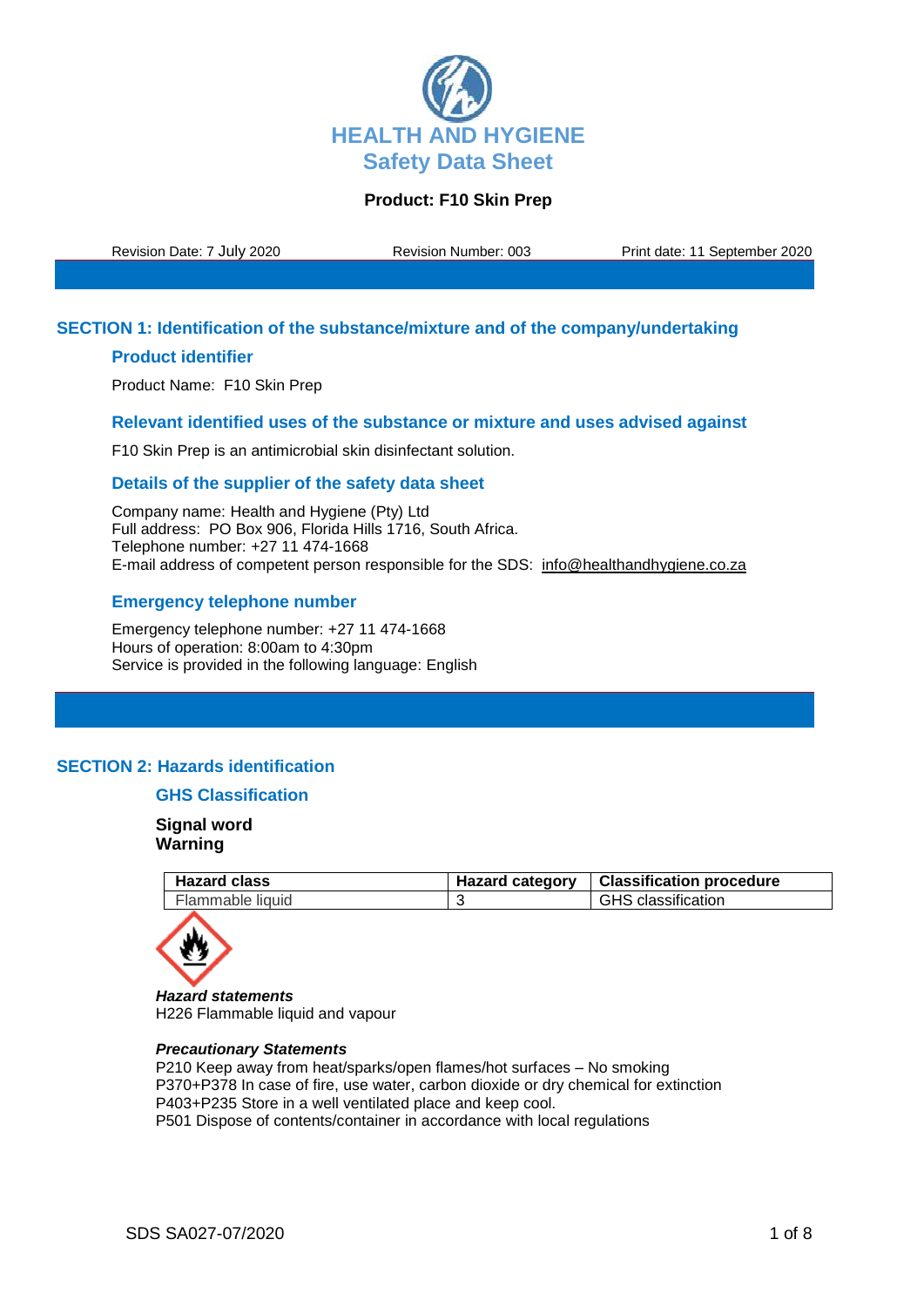

Revision Date: 7 July 2020 Revision Number: 003 Print date: 11 September 2020

### **SECTION 1: Identification of the substance/mixture and of the company/undertaking**

### **Product identifier**

Product Name: F10 Skin Prep

### **Relevant identified uses of the substance or mixture and uses advised against**

F10 Skin Prep is an antimicrobial skin disinfectant solution.

### **Details of the supplier of the safety data sheet**

Company name: Health and Hygiene (Pty) Ltd Full address: PO Box 906, Florida Hills 1716, South Africa. Telephone number: +27 11 474-1668 E-mail address of competent person responsible for the SDS: info@healthandhygiene.co.za

### **Emergency telephone number**

Emergency telephone number: +27 11 474-1668 Hours of operation: 8:00am to 4:30pm Service is provided in the following language: English

## **SECTION 2: Hazards identification**

## **GHS Classification**

**Signal word Warning**

| <b>Hazard class</b> | Hazard category   Classification procedure |
|---------------------|--------------------------------------------|
| Flammable liquid    | <b>GHS</b> classification                  |



*Hazard statements* H226 Flammable liquid and vapour

#### *Precautionary Statements*

P210 Keep away from heat/sparks/open flames/hot surfaces – No smoking P370+P378 In case of fire, use water, carbon dioxide or dry chemical for extinction P403+P235 Store in a well ventilated place and keep cool. P501 Dispose of contents/container in accordance with local regulations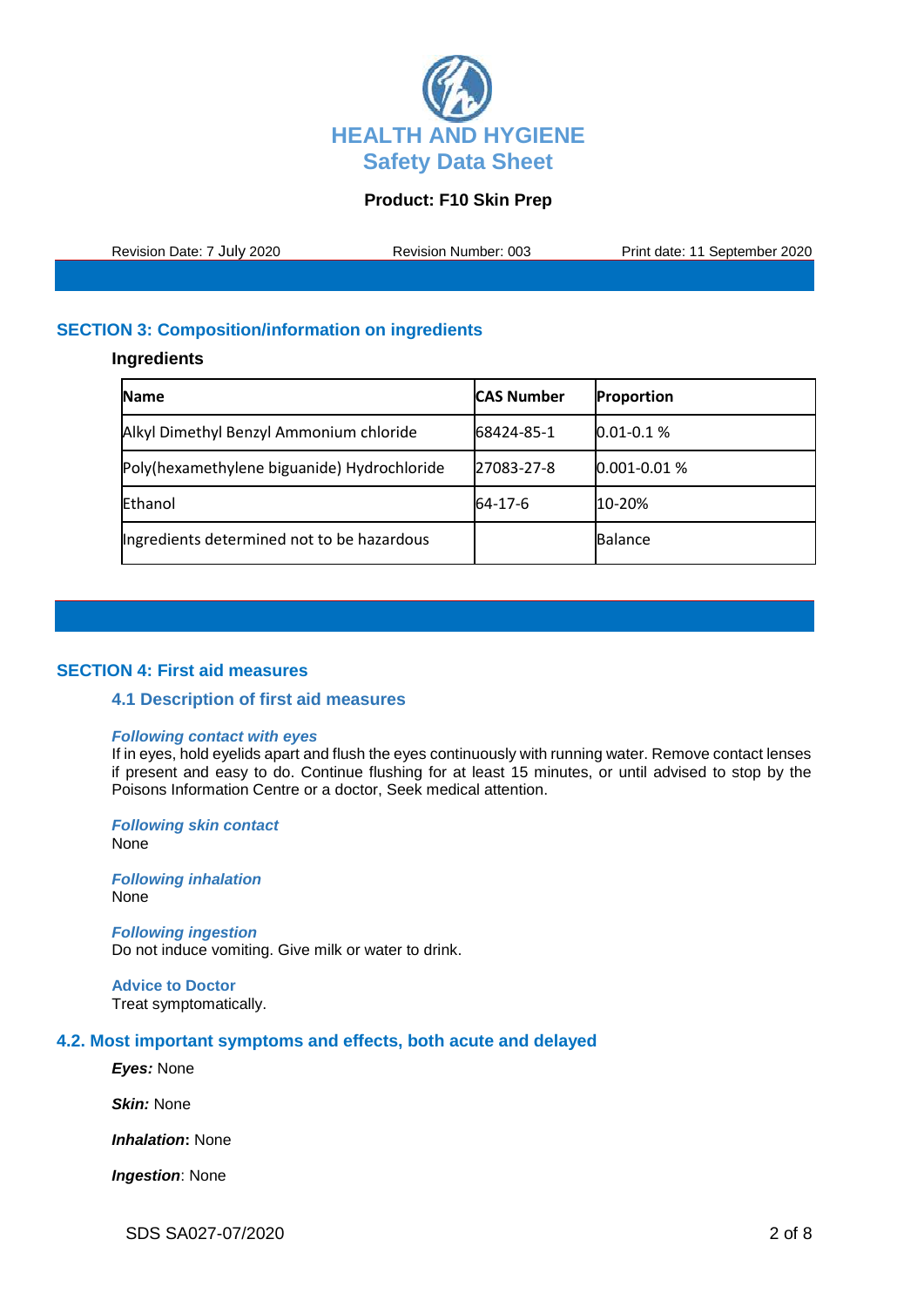

Revision Date: 7 July 2020 Revision Number: 003 Print date: 11 September 2020

# **SECTION 3: Composition/information on ingredients**

### **Ingredients**

| <b>Name</b>                                 | <b>CAS Number</b> | <b>Proportion</b> |
|---------------------------------------------|-------------------|-------------------|
| Alkyl Dimethyl Benzyl Ammonium chloride     | 68424-85-1        | $0.01 - 0.1 %$    |
| Poly(hexamethylene biguanide) Hydrochloride | 27083-27-8        | $0.001 - 0.01 %$  |
| Ethanol                                     | 64-17-6           | 10-20%            |
| Ingredients determined not to be hazardous  |                   | <b>Balance</b>    |

## **SECTION 4: First aid measures**

#### **4.1 Description of first aid measures**

#### *Following contact with eyes*

If in eyes, hold eyelids apart and flush the eyes continuously with running water. Remove contact lenses if present and easy to do. Continue flushing for at least 15 minutes, or until advised to stop by the Poisons Information Centre or a doctor, Seek medical attention.

*Following skin contact* None

*Following inhalation* None

*Following ingestion* Do not induce vomiting. Give milk or water to drink.

**Advice to Doctor** Treat symptomatically.

## **4.2. Most important symptoms and effects, both acute and delayed**

*Eyes:* None

*Skin:* None

*Inhalation***:** None

*Ingestion*: None

SDS SA027-07/2020 2 of 8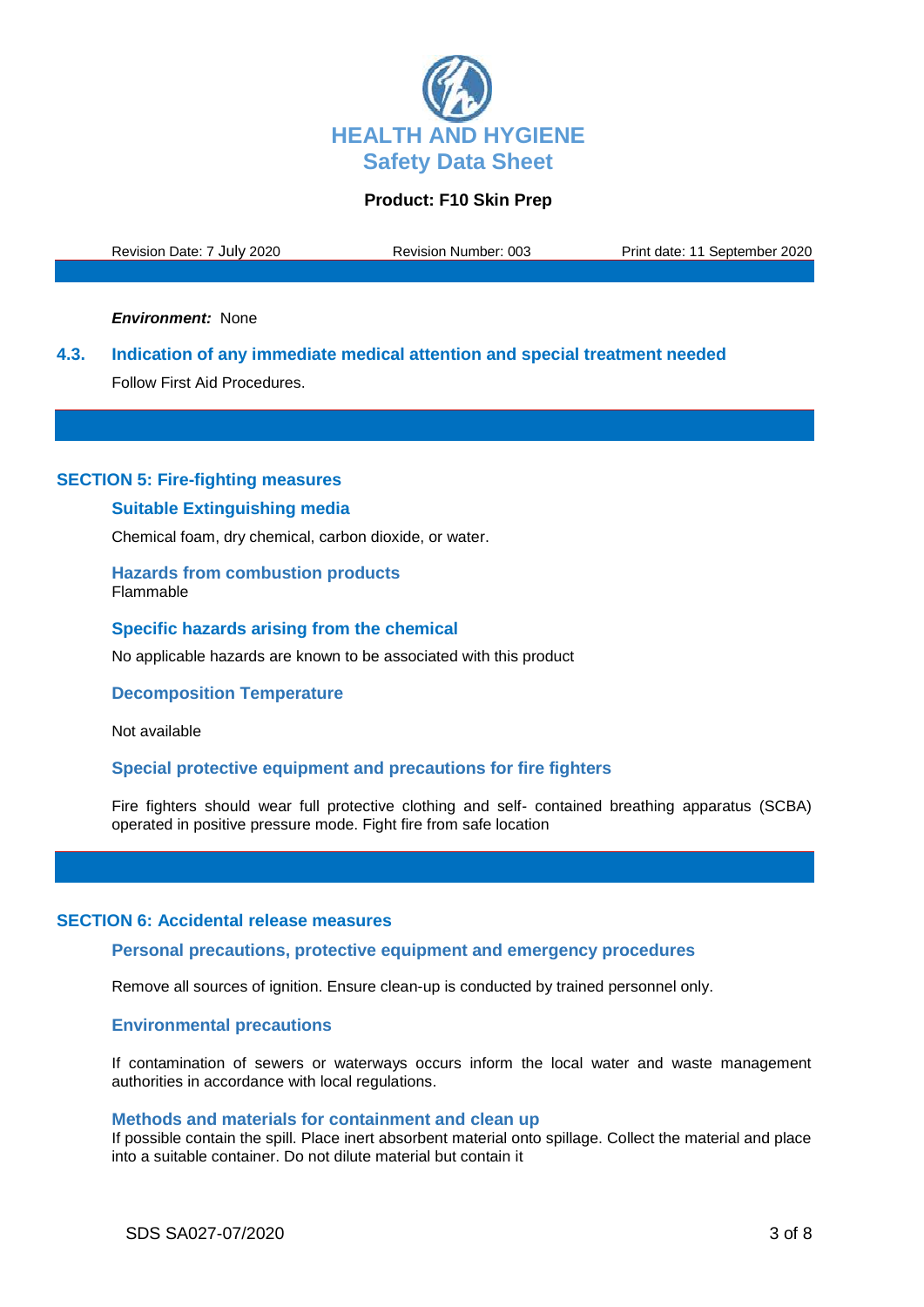

Revision Date: 7 July 2020 Revision Number: 003 Print date: 11 September 2020

*Environment:* None

**4.3. Indication of any immediate medical attention and special treatment needed** Follow First Aid Procedures.

#### **SECTION 5: Fire-fighting measures**

#### **Suitable Extinguishing media**

Chemical foam, dry chemical, carbon dioxide, or water.

**Hazards from combustion products** Flammable

#### **Specific hazards arising from the chemical**

No applicable hazards are known to be associated with this product

### **Decomposition Temperature**

Not available

### **Special protective equipment and precautions for fire fighters**

Fire fighters should wear full protective clothing and self- contained breathing apparatus (SCBA) operated in positive pressure mode. Fight fire from safe location

### **SECTION 6: Accidental release measures**

### **Personal precautions, protective equipment and emergency procedures**

Remove all sources of ignition. Ensure clean-up is conducted by trained personnel only.

### **Environmental precautions**

If contamination of sewers or waterways occurs inform the local water and waste management authorities in accordance with local regulations.

#### **Methods and materials for containment and clean up**

If possible contain the spill. Place inert absorbent material onto spillage. Collect the material and place into a suitable container. Do not dilute material but contain it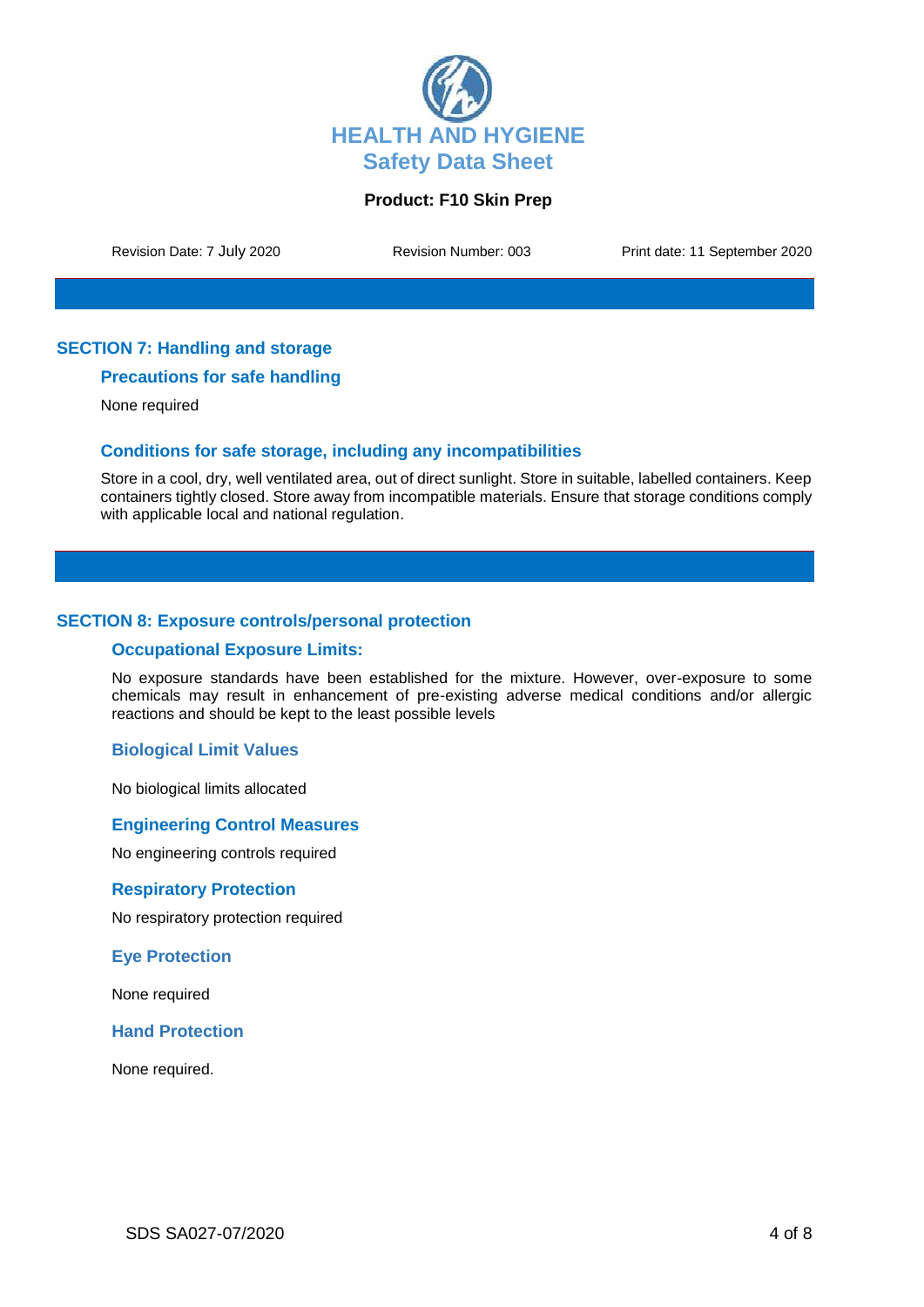

Revision Date: 7 July 2020 Revision Number: 003 Print date: 11 September 2020

## **SECTION 7: Handling and storage**

## **Precautions for safe handling**

None required

## **Conditions for safe storage, including any incompatibilities**

Store in a cool, dry, well ventilated area, out of direct sunlight. Store in suitable, labelled containers. Keep containers tightly closed. Store away from incompatible materials. Ensure that storage conditions comply with applicable local and national regulation.

## **SECTION 8: Exposure controls/personal protection**

#### **Occupational Exposure Limits:**

No exposure standards have been established for the mixture. However, over-exposure to some chemicals may result in enhancement of pre-existing adverse medical conditions and/or allergic reactions and should be kept to the least possible levels

## **Biological Limit Values**

No biological limits allocated

### **Engineering Control Measures**

No engineering controls required

#### **Respiratory Protection**

No respiratory protection required

#### **Eye Protection**

None required

### **Hand Protection**

None required.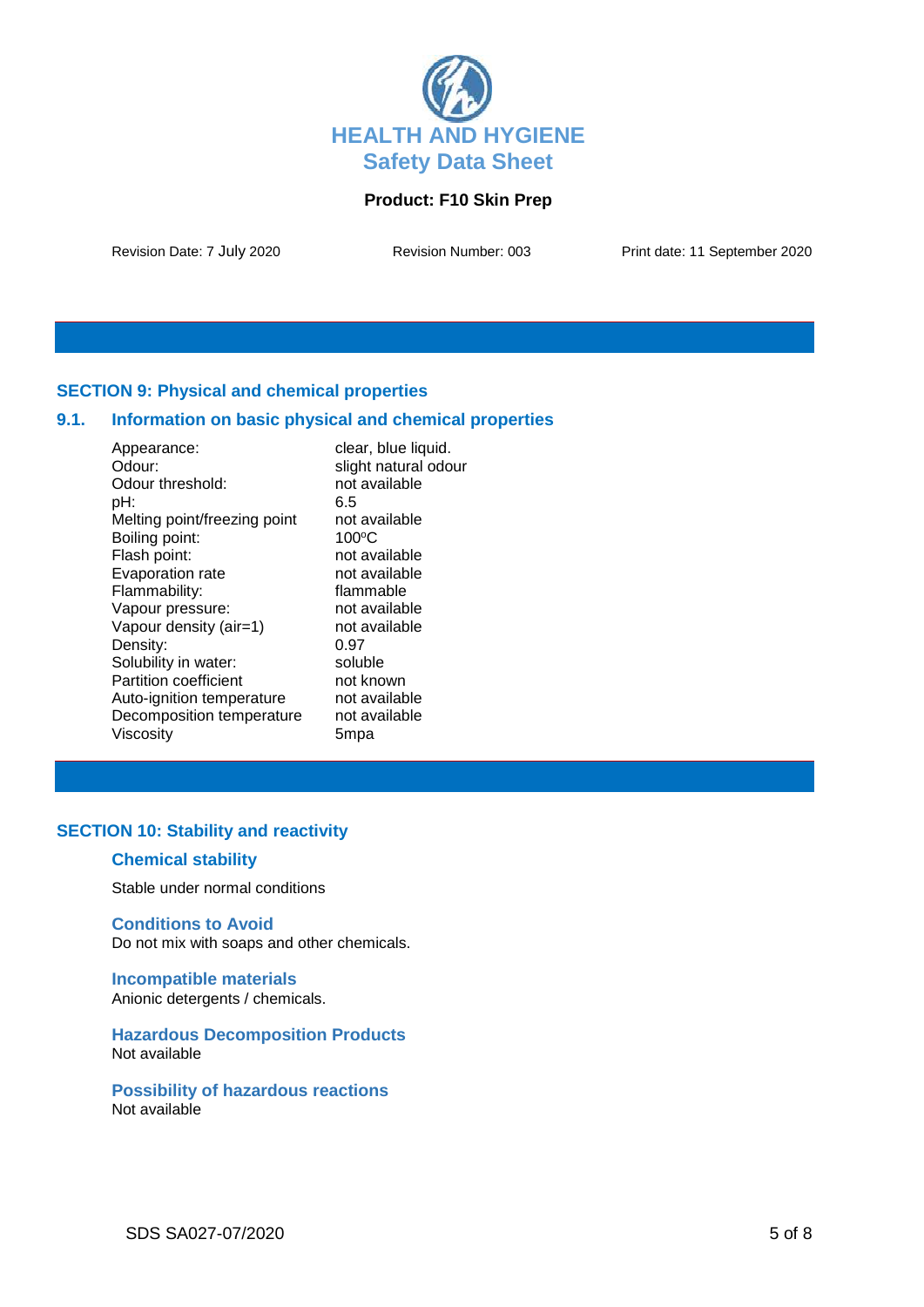

Revision Date: 7 July 2020 Revision Number: 003 Print date: 11 September 2020

## **SECTION 9: Physical and chemical properties**

## **9.1. Information on basic physical and chemical properties**

| Appearance:                  | clear, blue liquid.  |
|------------------------------|----------------------|
| Odour:                       | slight natural odour |
| Odour threshold:             | not available        |
| pH:                          | 6.5                  |
| Melting point/freezing point | not available        |
| Boiling point:               | $100^{\circ}$ C      |
| Flash point:                 | not available        |
| Evaporation rate             | not available        |
| Flammability:                | flammable            |
| Vapour pressure:             | not available        |
| Vapour density (air=1)       | not available        |
| Density:                     | 0.97                 |
| Solubility in water:         | soluble              |
| <b>Partition coefficient</b> | not known            |
| Auto-ignition temperature    | not available        |
| Decomposition temperature    | not available        |
| Viscosity                    | 5mpa                 |

## **SECTION 10: Stability and reactivity**

## **Chemical stability**

Stable under normal conditions

### **Conditions to Avoid**

Do not mix with soaps and other chemicals.

**Incompatible materials** Anionic detergents / chemicals.

**Hazardous Decomposition Products** Not available

**Possibility of hazardous reactions** Not available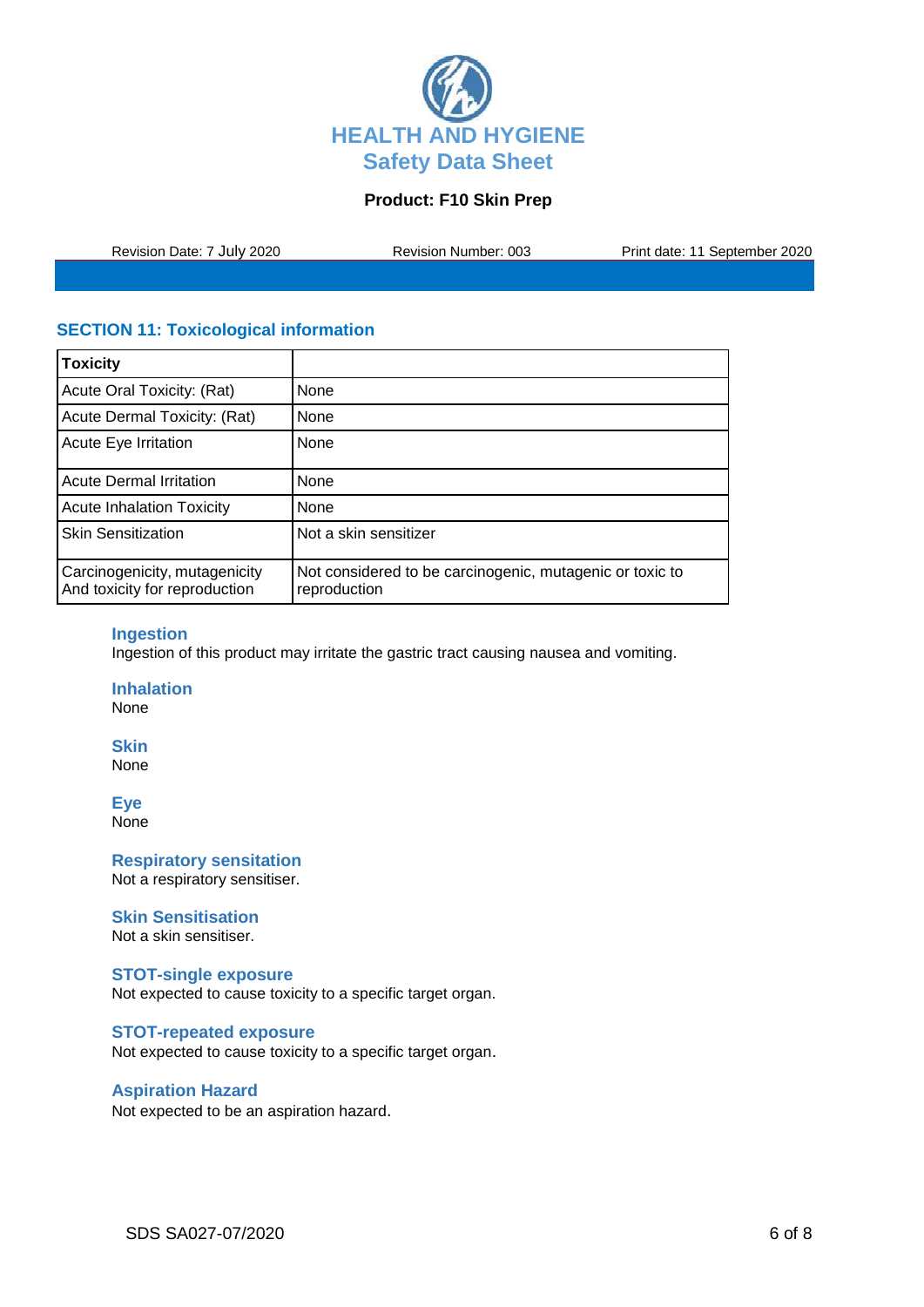

Revision Date: 7 July 2020 Revision Number: 003 Print date: 11 September 2020

# **SECTION 11: Toxicological information**

| <b>Toxicity</b>                                                |                                                                          |
|----------------------------------------------------------------|--------------------------------------------------------------------------|
| Acute Oral Toxicity: (Rat)                                     | None                                                                     |
| Acute Dermal Toxicity: (Rat)                                   | <b>None</b>                                                              |
| Acute Eye Irritation                                           | None                                                                     |
| <b>Acute Dermal Irritation</b>                                 | None                                                                     |
| <b>Acute Inhalation Toxicity</b>                               | None                                                                     |
| <b>Skin Sensitization</b>                                      | Not a skin sensitizer                                                    |
| Carcinogenicity, mutagenicity<br>And toxicity for reproduction | Not considered to be carcinogenic, mutagenic or toxic to<br>reproduction |

## **Ingestion**

Ingestion of this product may irritate the gastric tract causing nausea and vomiting.

**Inhalation** None

**Skin** None

**Eye** None

**Respiratory sensitation** Not a respiratory sensitiser.

## **Skin Sensitisation**

Not a skin sensitiser.

#### **STOT-single exposure**

Not expected to cause toxicity to a specific target organ.

### **STOT-repeated exposure**

Not expected to cause toxicity to a specific target organ.

### **Aspiration Hazard**

Not expected to be an aspiration hazard.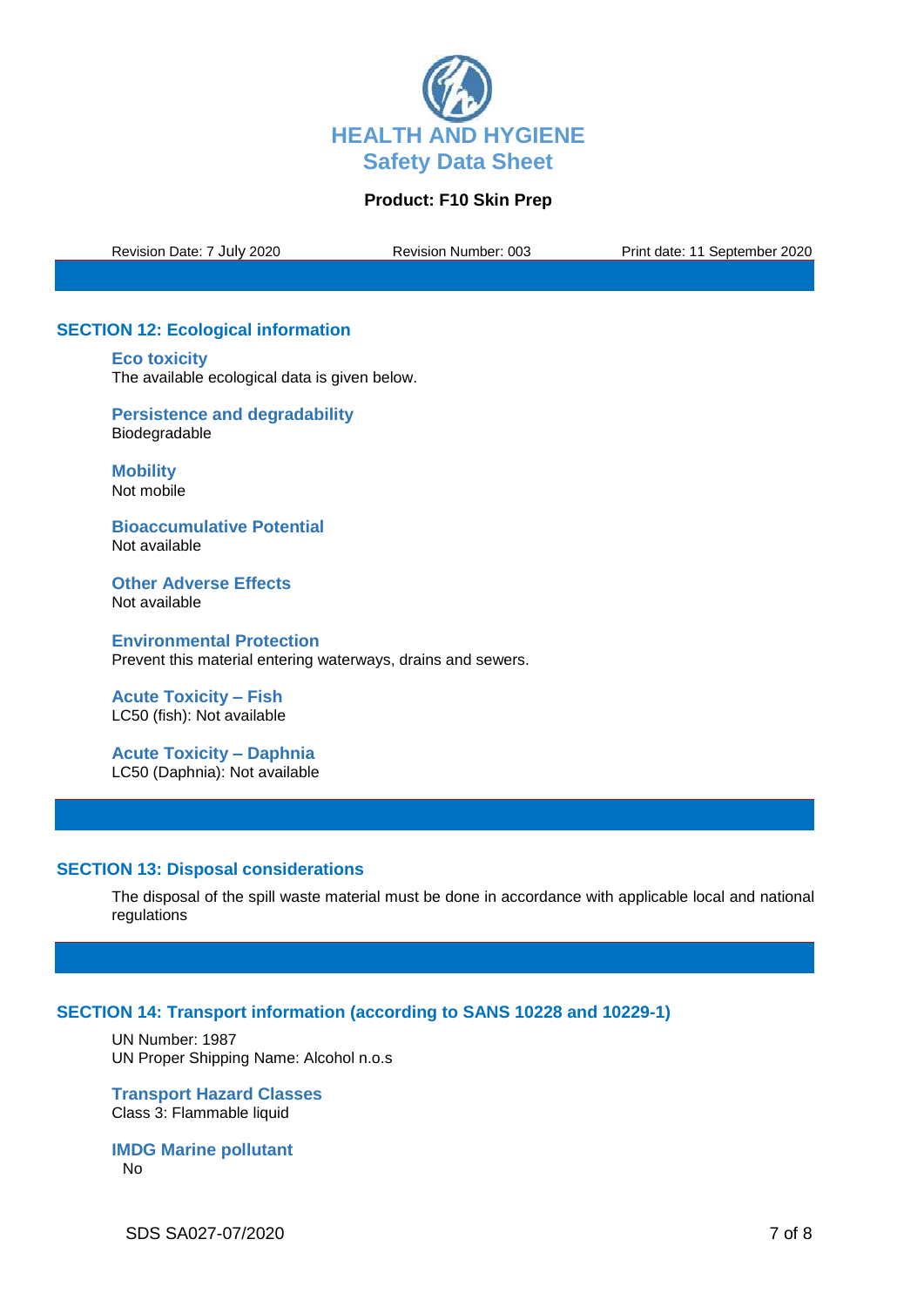

Revision Date: 7 July 2020 Revision Number: 003 Print date: 11 September 2020

# **SECTION 12: Ecological information**

**Eco toxicity**

The available ecological data is given below.

**Persistence and degradability** Biodegradable

**Mobility** Not mobile

**Bioaccumulative Potential** Not available

**Other Adverse Effects** Not available

**Environmental Protection** Prevent this material entering waterways, drains and sewers.

**Acute Toxicity – Fish** LC50 (fish): Not available

**Acute Toxicity – Daphnia** LC50 (Daphnia): Not available

## **SECTION 13: Disposal considerations**

The disposal of the spill waste material must be done in accordance with applicable local and national regulations

## **SECTION 14: Transport information (according to SANS 10228 and 10229-1)**

UN Number: 1987 UN Proper Shipping Name: Alcohol n.o.s

**Transport Hazard Classes** Class 3: Flammable liquid

**IMDG Marine pollutant** No